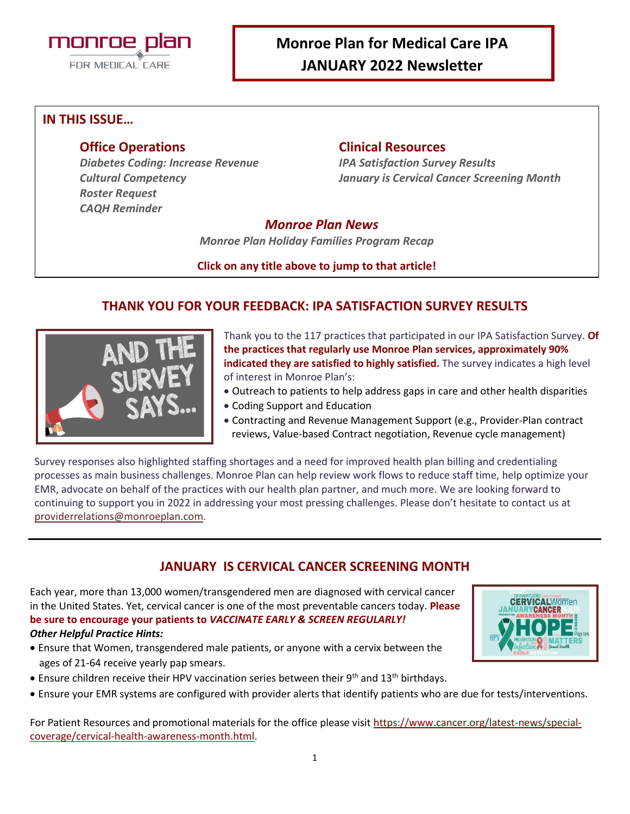

# **Monroe Plan for Medical Care IPA JANUARY 2022 Newsletter**

### **IN THIS ISSUE…**

*Diabetes Coding: Increase Revenue IPA Satisfaction Survey Results Roster Request CAQH Reminder*

#### **Office Operations Clinical Resources**

*Cultural Competency January is Cervical Cancer Screening Month*

#### *Monroe Plan News*

*Monroe Plan Holiday Families Program Recap*

**Click on any title above to jump to that article!**

## **THANK YOU FOR YOUR FEEDBACK: IPA SATISFACTION SURVEY RESULTS**



Thank you to the 117 practices that participated in our IPA Satisfaction Survey. **Of the practices that regularly use Monroe Plan services, approximately 90% indicated they are satisfied to highly satisfied.** The survey indicates a high level of interest in Monroe Plan's:

- Outreach to patients to help address gaps in care and other health disparities
- Coding Support and Education
- Contracting and Revenue Management Support (e.g., Provider-Plan contract reviews, Value-based Contract negotiation, Revenue cycle management)

**CERVICALWomen CANCER** 

Survey responses also highlighted staffing shortages and a need for improved health plan billing and credentialing processes as main business challenges. Monroe Plan can help review work flows to reduce staff time, help optimize your EMR, advocate on behalf of the practices with our health plan partner, and much more. We are looking forward to continuing to support you in 2022 in addressing your most pressing challenges. Please don't hesitate to contact us at [providerrelations@monroeplan.com.](mailto:providerrelations@monroeplan.com)

# **JANUARY IS CERVICAL CANCER SCREENING MONTH**

Each year, more than 13,000 women/transgendered men are diagnosed with cervical cancer in the United States. Yet, cervical cancer is one of the most preventable cancers today. **Please be sure to encourage your patients to** *VACCINATE EARLY & SCREEN REGULARLY! Other Helpful Practice Hints:*

• Ensure that Women, transgendered male patients, or anyone with a cervix between the ages of 21-64 receive yearly pap smears.



• Ensure your EMR systems are configured with provider alerts that identify patients who are due for tests/interventions.

For Patient Resources and promotional materials for the office please visit [https://www.cancer.org/latest-news/special](https://www.cancer.org/latest-news/special-coverage/cervical-health-awareness-month.html)[coverage/cervical-health-awareness-month.html.](https://www.cancer.org/latest-news/special-coverage/cervical-health-awareness-month.html)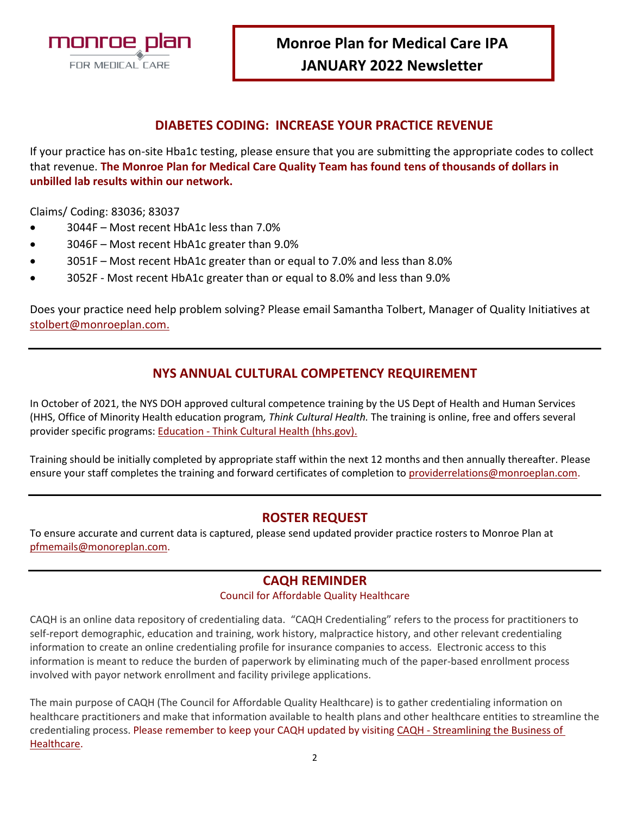

### **DIABETES CODING: INCREASE YOUR PRACTICE REVENUE**

If your practice has on-site Hba1c testing, please ensure that you are submitting the appropriate codes to collect that revenue. **The Monroe Plan for Medical Care Quality Team has found tens of thousands of dollars in unbilled lab results within our network.**

Claims/ Coding: 83036; 83037

- 3044F Most recent HbA1c less than 7.0%
- 3046F Most recent HbA1c greater than 9.0%
- 3051F Most recent HbA1c greater than or equal to 7.0% and less than 8.0%
- 3052F Most recent HbA1c greater than or equal to 8.0% and less than 9.0%

Does your practice need help problem solving? Please email Samantha Tolbert, Manager of Quality Initiatives at [stolbert@monroeplan.com.](mailto:stolbert@monroeplan.com)

#### **NYS ANNUAL CULTURAL COMPETENCY REQUIREMENT**

In October of 2021, the NYS DOH approved cultural competence training by the US Dept of Health and Human Services (HHS, Office of Minority Health education program*, Think Cultural Health.* The training is online, free and offers several provider specific programs: Education - [Think Cultural Health \(hhs.gov\).](https://thinkculturalhealth.hhs.gov/education)

Training should be initially completed by appropriate staff within the next 12 months and then annually thereafter. Please ensure your staff completes the training and forward certificates of completion to [providerrelations@monroeplan.com.](mailto:providerrelations@monroeplan.com)

#### **ROSTER REQUEST**

To ensure accurate and current data is captured, please send updated provider practice rosters to Monroe Plan at [pfmemails@monoreplan.com.](mailto:pfmemails@monoreplan.com)

#### **CAQH REMINDER**

#### Council for Affordable Quality Healthcare

CAQH is an online data repository of credentialing data. "CAQH Credentialing" refers to the process for practitioners to self-report demographic, education and training, work history, malpractice history, and other relevant credentialing information to create an online credentialing profile for insurance companies to access. Electronic access to this information is meant to reduce the burden of paperwork by eliminating much of the paper-based enrollment process involved with payor network enrollment and facility privilege applications.

The main purpose of CAQH (The Council for Affordable Quality Healthcare) is to gather credentialing information on healthcare practitioners and make that information available to health plans and other healthcare entities to streamline the credentialing process. Please remember to keep your CAQH updated by visiting CAQH - [Streamlining the Business of](https://www.caqh.org/)  [Healthcare.](https://www.caqh.org/)